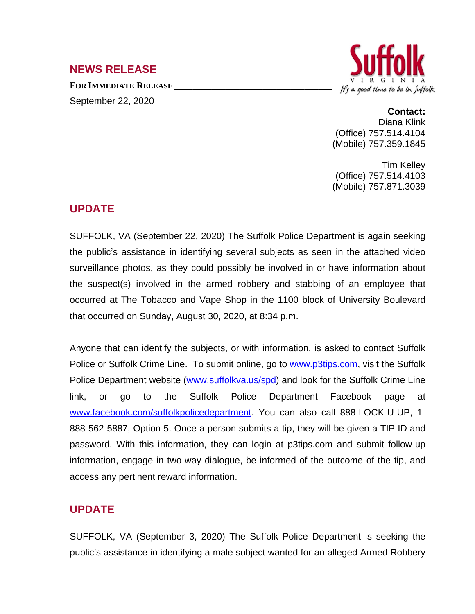### **NEWS RELEASE**

**FOR IMMEDIATE RELEASE \_\_\_\_\_\_\_\_\_\_\_\_\_\_\_\_\_\_\_\_\_\_\_\_\_\_\_\_\_\_\_\_\_\_** September 22, 2020



### **Contact:**

Diana Klink (Office) 757.514.4104 (Mobile) 757.359.1845

Tim Kelley (Office) 757.514.4103 (Mobile) 757.871.3039

# **UPDATE**

SUFFOLK, VA (September 22, 2020) The Suffolk Police Department is again seeking the public's assistance in identifying several subjects as seen in the attached video surveillance photos, as they could possibly be involved in or have information about the suspect(s) involved in the armed robbery and stabbing of an employee that occurred at The Tobacco and Vape Shop in the 1100 block of University Boulevard that occurred on Sunday, August 30, 2020, at 8:34 p.m.

Anyone that can identify the subjects, or with information, is asked to contact Suffolk Police or Suffolk Crime Line. To submit online, go to [www.p3tips.com](http://www.p3tips.com), visit the Suffolk Police Department website ([www.suffolkva.us/spd\)](http://www.suffolkva.us/spd) and look for the Suffolk Crime Line link, or go to the Suffolk Police Department Facebook page at [www.facebook.com/suffolkpolicedepartment](http://www.facebook.com/suffolkpolicedepartment). You can also call 888-LOCK-U-UP, 1-888-562-5887, Option 5. Once a person submits a tip, they will be given a TIP ID and password. With this information, they can login at p3tips.com and submit follow-up information, engage in two-way dialogue, be informed of the outcome of the tip, and access any pertinent reward information.

## **UPDATE**

SUFFOLK, VA (September 3, 2020) The Suffolk Police Department is seeking the public's assistance in identifying a male subject wanted for an alleged Armed Robbery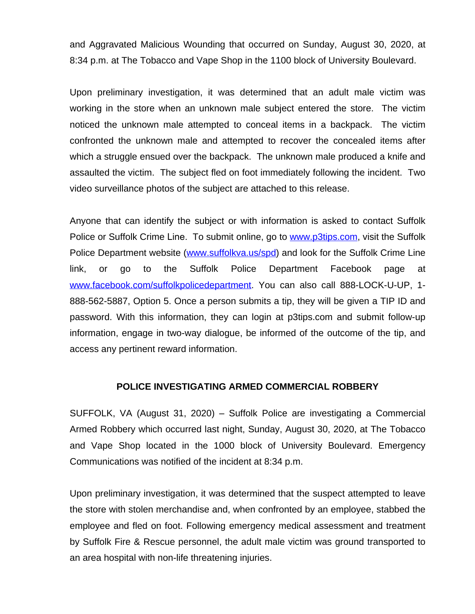and Aggravated Malicious Wounding that occurred on Sunday, August 30, 2020, at 8:34 p.m. at The Tobacco and Vape Shop in the 1100 block of University Boulevard.

Upon preliminary investigation, it was determined that an adult male victim was working in the store when an unknown male subject entered the store. The victim noticed the unknown male attempted to conceal items in a backpack. The victim confronted the unknown male and attempted to recover the concealed items after which a struggle ensued over the backpack. The unknown male produced a knife and assaulted the victim. The subject fled on foot immediately following the incident. Two video surveillance photos of the subject are attached to this release.

Anyone that can identify the subject or with information is asked to contact Suffolk Police or Suffolk Crime Line. To submit online, go to [www.p3tips.com](http://www.p3tips.com), visit the Suffolk Police Department website ([www.suffolkva.us/spd\)](http://www.suffolkva.us/spd) and look for the Suffolk Crime Line link, or go to the Suffolk Police Department Facebook page at [www.facebook.com/suffolkpolicedepartment](http://www.facebook.com/suffolkpolicedepartment). You can also call 888-LOCK-U-UP, 1-888-562-5887, Option 5. Once a person submits a tip, they will be given a TIP ID and password. With this information, they can login at p3tips.com and submit follow-up information, engage in two-way dialogue, be informed of the outcome of the tip, and access any pertinent reward information.

### **POLICE INVESTIGATING ARMED COMMERCIAL ROBBERY**

SUFFOLK, VA (August 31, 2020) – Suffolk Police are investigating a Commercial Armed Robbery which occurred last night, Sunday, August 30, 2020, at The Tobacco and Vape Shop located in the 1000 block of University Boulevard. Emergency Communications was notified of the incident at 8:34 p.m.

Upon preliminary investigation, it was determined that the suspect attempted to leave the store with stolen merchandise and, when confronted by an employee, stabbed the employee and fled on foot. Following emergency medical assessment and treatment by Suffolk Fire & Rescue personnel, the adult male victim was ground transported to an area hospital with non-life threatening injuries.